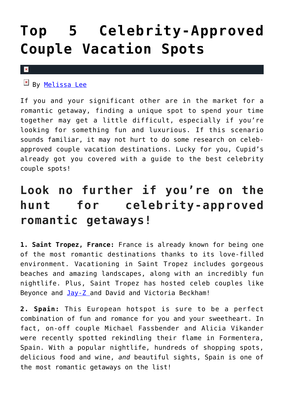## **[Top 5 Celebrity-Approved](https://cupidspulse.com/119678/celebrity-approved-couple-vacation-spots/) [Couple Vacation Spots](https://cupidspulse.com/119678/celebrity-approved-couple-vacation-spots/)**

## $\pmb{\times}$

 $By$  [Melissa Lee](http://cupidspulse.com/118747/melissa-lee/)

If you and your significant other are in the market for a romantic getaway, finding a unique spot to spend your time together may get a little difficult, especially if you're looking for something fun and luxurious. If this scenario sounds familiar, it may not hurt to do some research on celebapproved couple vacation destinations. Lucky for you, Cupid's already got you covered with a guide to the best celebrity couple spots!

## **Look no further if you're on the hunt for celebrity-approved romantic getaways!**

**1. Saint Tropez, France:** France is already known for being one of the most romantic destinations thanks to its love-filled environment. Vacationing in Saint Tropez includes gorgeous beaches and amazing landscapes, along with an incredibly fun nightlife. Plus, Saint Tropez has hosted celeb couples like Beyonce and [Jay-Z a](http://cupidspulse.com/87033/jay-z/)nd David and Victoria Beckham!

**2. Spain:** This European hotspot is sure to be a perfect combination of fun and romance for you and your sweetheart. In fact, on-off couple Michael Fassbender and Alicia Vikander were recently spotted rekindling their flame in Formentera, Spain. With a popular nightlife, hundreds of shopping spots, delicious food and wine, *and* beautiful sights, Spain is one of the most romantic getaways on the list!